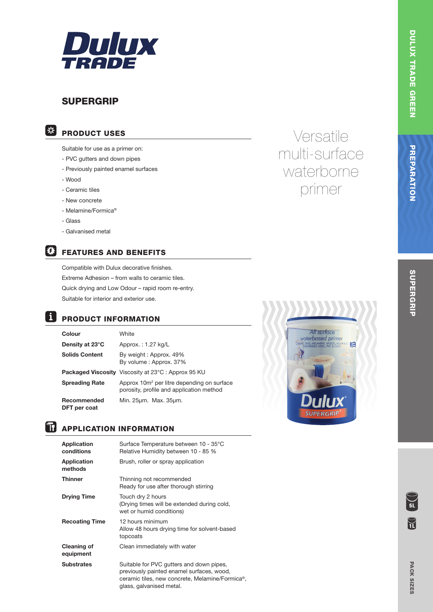

## **SUPERGRIP**

#### | 米| PRODUCT USES

Suitable for use as a primer on:

- PVC gutters and down pipes
- Previously painted enamel surfaces
- Wood
- Ceramic tiles
- New concrete
- Melamine/Formica®
- Glass
- Galvanised metal

## **EX FEATURES AND BENEFITS**

Compatible with Dulux decorative finishes. Extreme Adhesion – from walls to ceramic tiles. Quick drying and Low Odour – rapid room re-entry. Suitable for interior and exterior use.

## **El PRODUCT INFORMATION**

| Colour                      | White                                                                                              |
|-----------------------------|----------------------------------------------------------------------------------------------------|
| Density at 23°C             | Approx.: 1.27 kg/L                                                                                 |
| <b>Solids Content</b>       | By weight: Approx. 49%<br>By volume: Approx. 37%                                                   |
|                             | <b>Packaged Viscosity</b> Viscosity at 23°C: Approx 95 KU                                          |
| <b>Spreading Rate</b>       | Approx 10m <sup>2</sup> per litre depending on surface<br>porosity, profile and application method |
| Recommended<br>DFT per coat | Min. 25um. Max. 35um.                                                                              |

## **APPLICATION INFORMATION**

| Application<br>conditions       | Surface Temperature between 10 - 35°C<br>Relative Humidity between 10 - 85 %                                                                                                      |
|---------------------------------|-----------------------------------------------------------------------------------------------------------------------------------------------------------------------------------|
| Application<br>methods          | Brush, roller or spray application                                                                                                                                                |
| <b>Thinner</b>                  | Thinning not recommended<br>Ready for use after thorough stirring                                                                                                                 |
| <b>Drying Time</b>              | Touch dry 2 hours<br>(Drying times will be extended during cold,<br>wet or humid conditions)                                                                                      |
| <b>Recoating Time</b>           | 12 hours minimum<br>Allow 48 hours drying time for solvent-based<br>topcoats                                                                                                      |
| <b>Cleaning of</b><br>equipment | Clean immediately with water                                                                                                                                                      |
| Substrates                      | Suitable for PVC gutters and down pipes,<br>previously painted enamel surfaces, wood,<br>ceramic tiles, new concrete, Melamine/Formica <sup>®</sup> ,<br>glass, galvanised metal. |

# Versatile multi-surface waterborne primer



PREPARATION